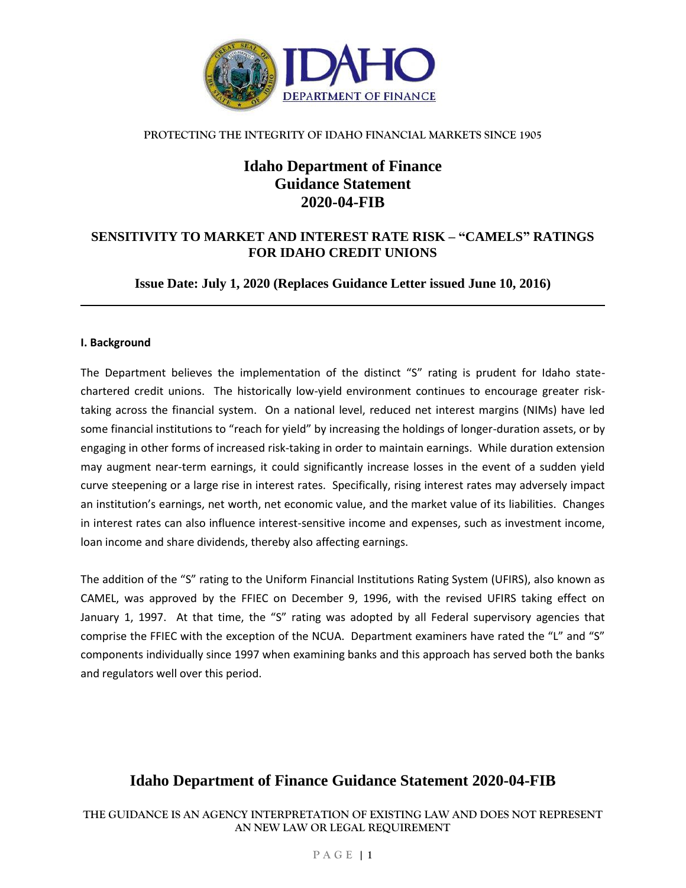

# **Idaho Department of Finance Guidance Statement 2020-04-FIB**

## **SENSITIVITY TO MARKET AND INTEREST RATE RISK – "CAMELS" RATINGS FOR IDAHO CREDIT UNIONS**

**Issue Date: July 1, 2020 (Replaces Guidance Letter issued June 10, 2016)**

### **I. Background**

The Department believes the implementation of the distinct "S" rating is prudent for Idaho statechartered credit unions. The historically low-yield environment continues to encourage greater risktaking across the financial system. On a national level, reduced net interest margins (NIMs) have led some financial institutions to "reach for yield" by increasing the holdings of longer-duration assets, or by engaging in other forms of increased risk-taking in order to maintain earnings. While duration extension may augment near-term earnings, it could significantly increase losses in the event of a sudden yield curve steepening or a large rise in interest rates. Specifically, rising interest rates may adversely impact an institution's earnings, net worth, net economic value, and the market value of its liabilities. Changes in interest rates can also influence interest-sensitive income and expenses, such as investment income, loan income and share dividends, thereby also affecting earnings.

The addition of the "S" rating to the Uniform Financial Institutions Rating System (UFIRS), also known as CAMEL, was approved by the FFIEC on December 9, 1996, with the revised UFIRS taking effect on January 1, 1997. At that time, the "S" rating was adopted by all Federal supervisory agencies that comprise the FFIEC with the exception of the NCUA. Department examiners have rated the "L" and "S" components individually since 1997 when examining banks and this approach has served both the banks and regulators well over this period.

# **Idaho Department of Finance Guidance Statement 2020-04-FIB**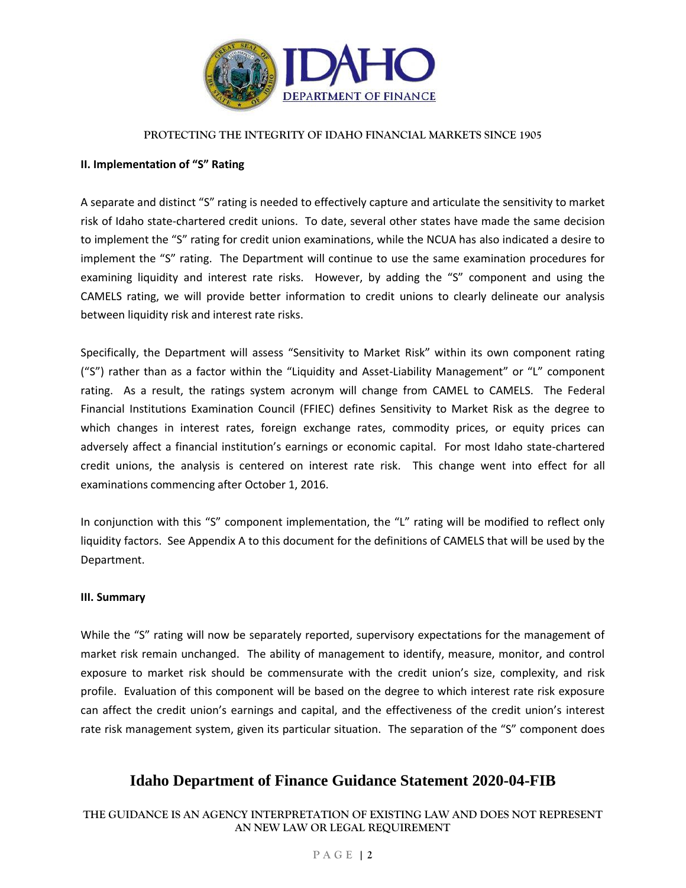

#### **II. Implementation of "S" Rating**

A separate and distinct "S" rating is needed to effectively capture and articulate the sensitivity to market risk of Idaho state-chartered credit unions. To date, several other states have made the same decision to implement the "S" rating for credit union examinations, while the NCUA has also indicated a desire to implement the "S" rating. The Department will continue to use the same examination procedures for examining liquidity and interest rate risks. However, by adding the "S" component and using the CAMELS rating, we will provide better information to credit unions to clearly delineate our analysis between liquidity risk and interest rate risks.

Specifically, the Department will assess "Sensitivity to Market Risk" within its own component rating ("S") rather than as a factor within the "Liquidity and Asset-Liability Management" or "L" component rating. As a result, the ratings system acronym will change from CAMEL to CAMELS. The Federal Financial Institutions Examination Council (FFIEC) defines Sensitivity to Market Risk as the degree to which changes in interest rates, foreign exchange rates, commodity prices, or equity prices can adversely affect a financial institution's earnings or economic capital. For most Idaho state-chartered credit unions, the analysis is centered on interest rate risk. This change went into effect for all examinations commencing after October 1, 2016.

In conjunction with this "S" component implementation, the "L" rating will be modified to reflect only liquidity factors. See Appendix A to this document for the definitions of CAMELS that will be used by the Department.

#### **III. Summary**

While the "S" rating will now be separately reported, supervisory expectations for the management of market risk remain unchanged. The ability of management to identify, measure, monitor, and control exposure to market risk should be commensurate with the credit union's size, complexity, and risk profile. Evaluation of this component will be based on the degree to which interest rate risk exposure can affect the credit union's earnings and capital, and the effectiveness of the credit union's interest rate risk management system, given its particular situation. The separation of the "S" component does

## **Idaho Department of Finance Guidance Statement 2020-04-FIB**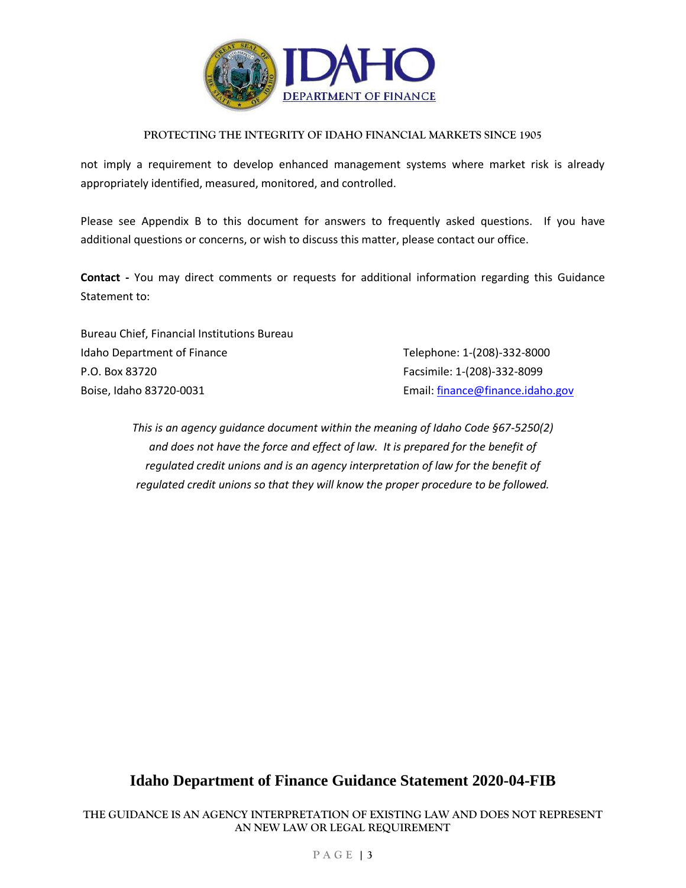

not imply a requirement to develop enhanced management systems where market risk is already appropriately identified, measured, monitored, and controlled.

Please see Appendix B to this document for answers to frequently asked questions. If you have additional questions or concerns, or wish to discuss this matter, please contact our office.

**Contact -** You may direct comments or requests for additional information regarding this Guidance Statement to:

| Bureau Chief, Financial Institutions Bureau |                                  |
|---------------------------------------------|----------------------------------|
| Idaho Department of Finance                 | Telephone: 1-(208)-332-8000      |
| P.O. Box 83720                              | Facsimile: 1-(208)-332-8099      |
| Boise, Idaho 83720-0031                     | Email: finance@finance.idaho.gov |

*This is an agency guidance document within the meaning of Idaho Code §67-5250(2) and does not have the force and effect of law. It is prepared for the benefit of regulated credit unions and is an agency interpretation of law for the benefit of regulated credit unions so that they will know the proper procedure to be followed.*

# **Idaho Department of Finance Guidance Statement 2020-04-FIB**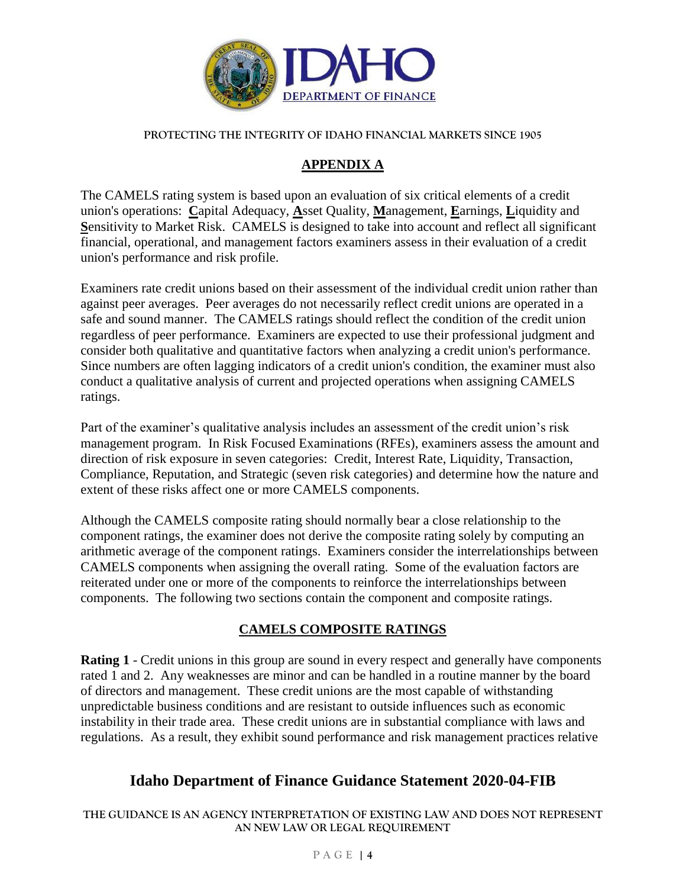

## **APPENDIX A**

The CAMELS rating system is based upon an evaluation of six critical elements of a credit union's operations: **C**apital Adequacy, **A**sset Quality, **M**anagement, **E**arnings, **L**iquidity and **S**ensitivity to Market Risk. CAMELS is designed to take into account and reflect all significant financial, operational, and management factors examiners assess in their evaluation of a credit union's performance and risk profile.

Examiners rate credit unions based on their assessment of the individual credit union rather than against peer averages. Peer averages do not necessarily reflect credit unions are operated in a safe and sound manner. The CAMELS ratings should reflect the condition of the credit union regardless of peer performance. Examiners are expected to use their professional judgment and consider both qualitative and quantitative factors when analyzing a credit union's performance. Since numbers are often lagging indicators of a credit union's condition, the examiner must also conduct a qualitative analysis of current and projected operations when assigning CAMELS ratings.

Part of the examiner's qualitative analysis includes an assessment of the credit union's risk management program. In Risk Focused Examinations (RFEs), examiners assess the amount and direction of risk exposure in seven categories: Credit, Interest Rate, Liquidity, Transaction, Compliance, Reputation, and Strategic (seven risk categories) and determine how the nature and extent of these risks affect one or more CAMELS components.

Although the CAMELS composite rating should normally bear a close relationship to the component ratings, the examiner does not derive the composite rating solely by computing an arithmetic average of the component ratings. Examiners consider the interrelationships between CAMELS components when assigning the overall rating. Some of the evaluation factors are reiterated under one or more of the components to reinforce the interrelationships between components. The following two sections contain the component and composite ratings.

## **CAMELS COMPOSITE RATINGS**

**Rating 1** - Credit unions in this group are sound in every respect and generally have components rated 1 and 2. Any weaknesses are minor and can be handled in a routine manner by the board of directors and management. These credit unions are the most capable of withstanding unpredictable business conditions and are resistant to outside influences such as economic instability in their trade area. These credit unions are in substantial compliance with laws and regulations. As a result, they exhibit sound performance and risk management practices relative

## **Idaho Department of Finance Guidance Statement 2020-04-FIB**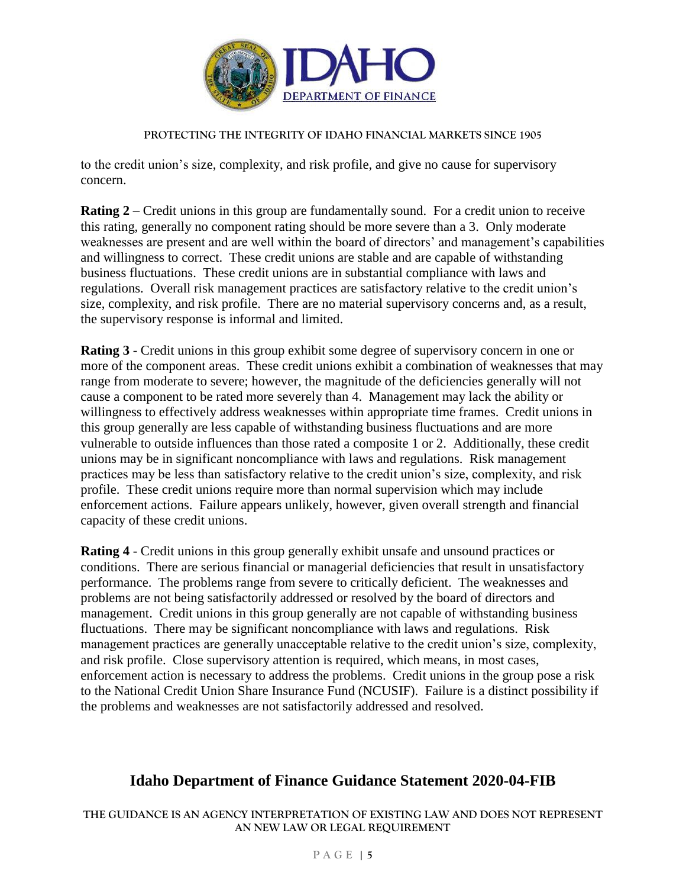

to the credit union's size, complexity, and risk profile, and give no cause for supervisory concern.

**Rating 2** – Credit unions in this group are fundamentally sound. For a credit union to receive this rating, generally no component rating should be more severe than a 3. Only moderate weaknesses are present and are well within the board of directors' and management's capabilities and willingness to correct. These credit unions are stable and are capable of withstanding business fluctuations. These credit unions are in substantial compliance with laws and regulations. Overall risk management practices are satisfactory relative to the credit union's size, complexity, and risk profile. There are no material supervisory concerns and, as a result, the supervisory response is informal and limited.

**Rating 3** - Credit unions in this group exhibit some degree of supervisory concern in one or more of the component areas. These credit unions exhibit a combination of weaknesses that may range from moderate to severe; however, the magnitude of the deficiencies generally will not cause a component to be rated more severely than 4. Management may lack the ability or willingness to effectively address weaknesses within appropriate time frames. Credit unions in this group generally are less capable of withstanding business fluctuations and are more vulnerable to outside influences than those rated a composite 1 or 2. Additionally, these credit unions may be in significant noncompliance with laws and regulations. Risk management practices may be less than satisfactory relative to the credit union's size, complexity, and risk profile. These credit unions require more than normal supervision which may include enforcement actions. Failure appears unlikely, however, given overall strength and financial capacity of these credit unions.

**Rating 4** - Credit unions in this group generally exhibit unsafe and unsound practices or conditions. There are serious financial or managerial deficiencies that result in unsatisfactory performance. The problems range from severe to critically deficient. The weaknesses and problems are not being satisfactorily addressed or resolved by the board of directors and management. Credit unions in this group generally are not capable of withstanding business fluctuations. There may be significant noncompliance with laws and regulations. Risk management practices are generally unacceptable relative to the credit union's size, complexity, and risk profile. Close supervisory attention is required, which means, in most cases, enforcement action is necessary to address the problems. Credit unions in the group pose a risk to the National Credit Union Share Insurance Fund (NCUSIF). Failure is a distinct possibility if the problems and weaknesses are not satisfactorily addressed and resolved.

# **Idaho Department of Finance Guidance Statement 2020-04-FIB**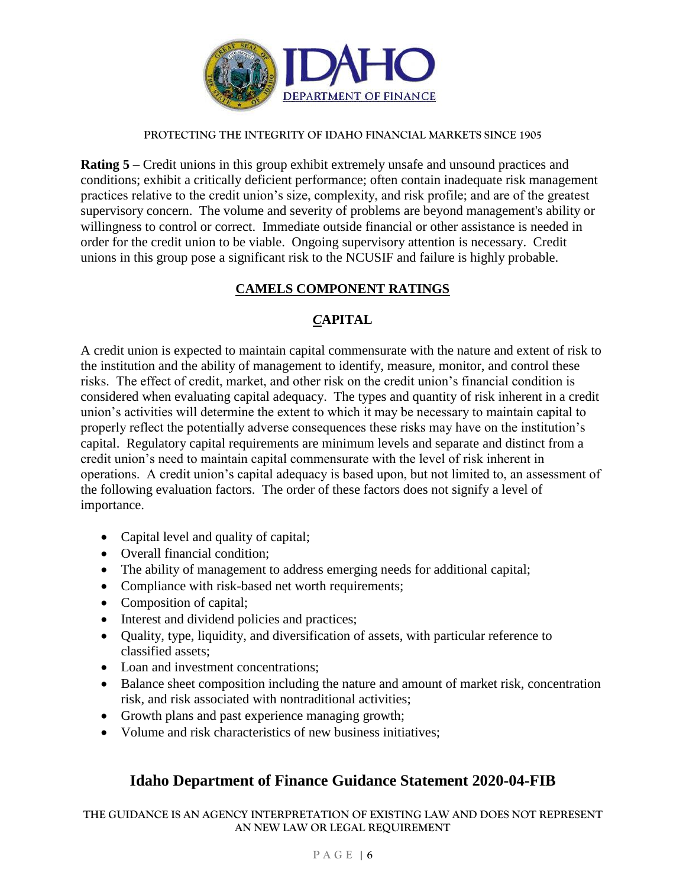

**Rating 5** – Credit unions in this group exhibit extremely unsafe and unsound practices and conditions; exhibit a critically deficient performance; often contain inadequate risk management practices relative to the credit union's size, complexity, and risk profile; and are of the greatest supervisory concern. The volume and severity of problems are beyond management's ability or willingness to control or correct. Immediate outside financial or other assistance is needed in order for the credit union to be viable. Ongoing supervisory attention is necessary. Credit unions in this group pose a significant risk to the NCUSIF and failure is highly probable.

## **CAMELS COMPONENT RATINGS**

## *C***APITAL**

A credit union is expected to maintain capital commensurate with the nature and extent of risk to the institution and the ability of management to identify, measure, monitor, and control these risks. The effect of credit, market, and other risk on the credit union's financial condition is considered when evaluating capital adequacy. The types and quantity of risk inherent in a credit union's activities will determine the extent to which it may be necessary to maintain capital to properly reflect the potentially adverse consequences these risks may have on the institution's capital. Regulatory capital requirements are minimum levels and separate and distinct from a credit union's need to maintain capital commensurate with the level of risk inherent in operations. A credit union's capital adequacy is based upon, but not limited to, an assessment of the following evaluation factors. The order of these factors does not signify a level of importance.

- Capital level and quality of capital;
- Overall financial condition;
- The ability of management to address emerging needs for additional capital;
- Compliance with risk-based net worth requirements;
- Composition of capital;
- Interest and dividend policies and practices;
- Quality, type, liquidity, and diversification of assets, with particular reference to classified assets;
- Loan and investment concentrations:
- Balance sheet composition including the nature and amount of market risk, concentration risk, and risk associated with nontraditional activities;
- Growth plans and past experience managing growth;
- Volume and risk characteristics of new business initiatives;

# **Idaho Department of Finance Guidance Statement 2020-04-FIB**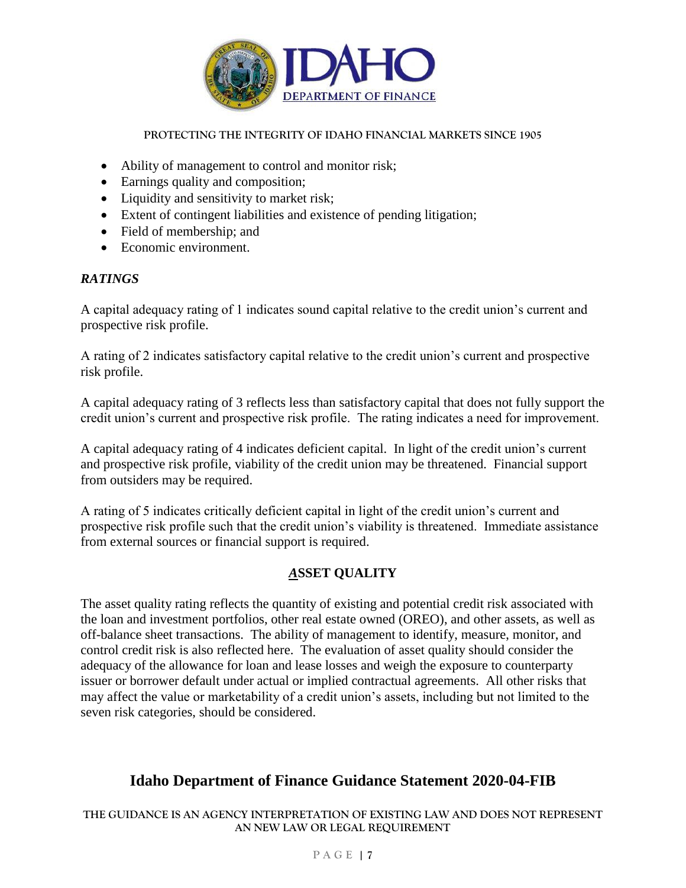

- Ability of management to control and monitor risk;
- Earnings quality and composition;
- Liquidity and sensitivity to market risk;
- Extent of contingent liabilities and existence of pending litigation;
- Field of membership; and
- Economic environment.

## *RATINGS*

A capital adequacy rating of 1 indicates sound capital relative to the credit union's current and prospective risk profile.

A rating of 2 indicates satisfactory capital relative to the credit union's current and prospective risk profile.

A capital adequacy rating of 3 reflects less than satisfactory capital that does not fully support the credit union's current and prospective risk profile. The rating indicates a need for improvement.

A capital adequacy rating of 4 indicates deficient capital. In light of the credit union's current and prospective risk profile, viability of the credit union may be threatened. Financial support from outsiders may be required.

A rating of 5 indicates critically deficient capital in light of the credit union's current and prospective risk profile such that the credit union's viability is threatened. Immediate assistance from external sources or financial support is required.

## *A***SSET QUALITY**

The asset quality rating reflects the quantity of existing and potential credit risk associated with the loan and investment portfolios, other real estate owned (OREO), and other assets, as well as off-balance sheet transactions. The ability of management to identify, measure, monitor, and control credit risk is also reflected here. The evaluation of asset quality should consider the adequacy of the allowance for loan and lease losses and weigh the exposure to counterparty issuer or borrower default under actual or implied contractual agreements. All other risks that may affect the value or marketability of a credit union's assets, including but not limited to the seven risk categories, should be considered.

# **Idaho Department of Finance Guidance Statement 2020-04-FIB**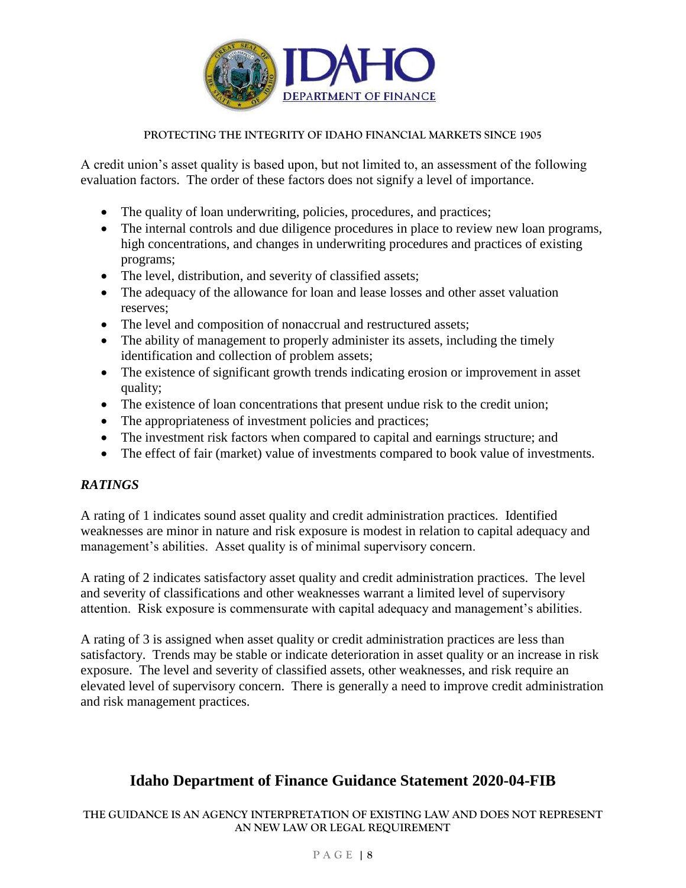

A credit union's asset quality is based upon, but not limited to, an assessment of the following evaluation factors. The order of these factors does not signify a level of importance.

- The quality of loan underwriting, policies, procedures, and practices;
- The internal controls and due diligence procedures in place to review new loan programs, high concentrations, and changes in underwriting procedures and practices of existing programs;
- The level, distribution, and severity of classified assets;
- The adequacy of the allowance for loan and lease losses and other asset valuation reserves;
- The level and composition of nonaccrual and restructured assets;
- The ability of management to properly administer its assets, including the timely identification and collection of problem assets;
- The existence of significant growth trends indicating erosion or improvement in asset quality;
- The existence of loan concentrations that present undue risk to the credit union;
- The appropriateness of investment policies and practices;
- The investment risk factors when compared to capital and earnings structure; and
- The effect of fair (market) value of investments compared to book value of investments.

## *RATINGS*

A rating of 1 indicates sound asset quality and credit administration practices. Identified weaknesses are minor in nature and risk exposure is modest in relation to capital adequacy and management's abilities. Asset quality is of minimal supervisory concern.

A rating of 2 indicates satisfactory asset quality and credit administration practices. The level and severity of classifications and other weaknesses warrant a limited level of supervisory attention. Risk exposure is commensurate with capital adequacy and management's abilities.

A rating of 3 is assigned when asset quality or credit administration practices are less than satisfactory. Trends may be stable or indicate deterioration in asset quality or an increase in risk exposure. The level and severity of classified assets, other weaknesses, and risk require an elevated level of supervisory concern. There is generally a need to improve credit administration and risk management practices.

# **Idaho Department of Finance Guidance Statement 2020-04-FIB**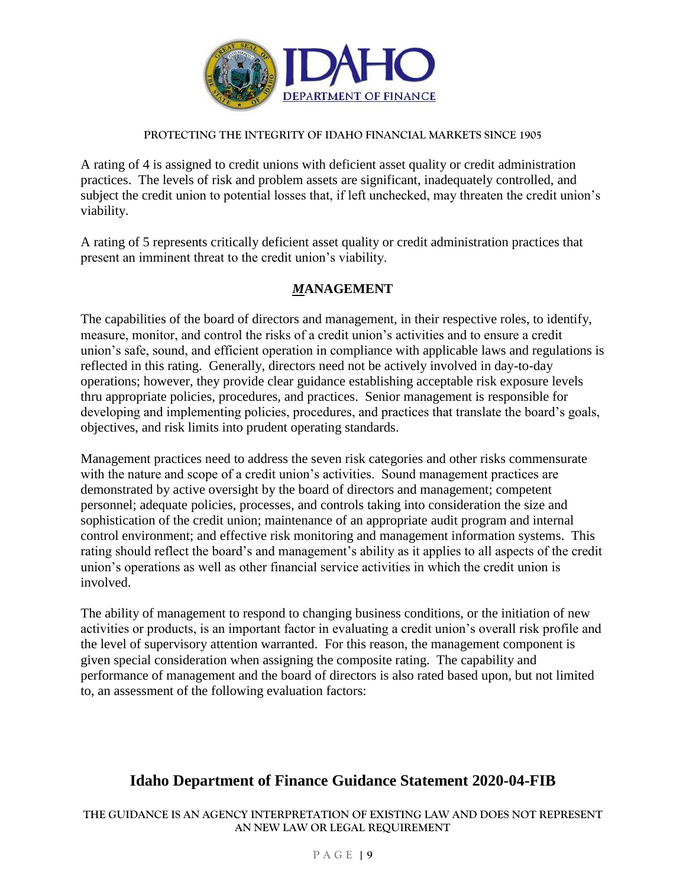

A rating of 4 is assigned to credit unions with deficient asset quality or credit administration practices. The levels of risk and problem assets are significant, inadequately controlled, and subject the credit union to potential losses that, if left unchecked, may threaten the credit union's viability.

A rating of 5 represents critically deficient asset quality or credit administration practices that present an imminent threat to the credit union's viability.

## *M***ANAGEMENT**

The capabilities of the board of directors and management, in their respective roles, to identify, measure, monitor, and control the risks of a credit union's activities and to ensure a credit union's safe, sound, and efficient operation in compliance with applicable laws and regulations is reflected in this rating. Generally, directors need not be actively involved in day-to-day operations; however, they provide clear guidance establishing acceptable risk exposure levels thru appropriate policies, procedures, and practices. Senior management is responsible for developing and implementing policies, procedures, and practices that translate the board's goals, objectives, and risk limits into prudent operating standards.

Management practices need to address the seven risk categories and other risks commensurate with the nature and scope of a credit union's activities. Sound management practices are demonstrated by active oversight by the board of directors and management; competent personnel; adequate policies, processes, and controls taking into consideration the size and sophistication of the credit union; maintenance of an appropriate audit program and internal control environment; and effective risk monitoring and management information systems. This rating should reflect the board's and management's ability as it applies to all aspects of the credit union's operations as well as other financial service activities in which the credit union is involved.

The ability of management to respond to changing business conditions, or the initiation of new activities or products, is an important factor in evaluating a credit union's overall risk profile and the level of supervisory attention warranted. For this reason, the management component is given special consideration when assigning the composite rating. The capability and performance of management and the board of directors is also rated based upon, but not limited to, an assessment of the following evaluation factors:

# **Idaho Department of Finance Guidance Statement 2020-04-FIB**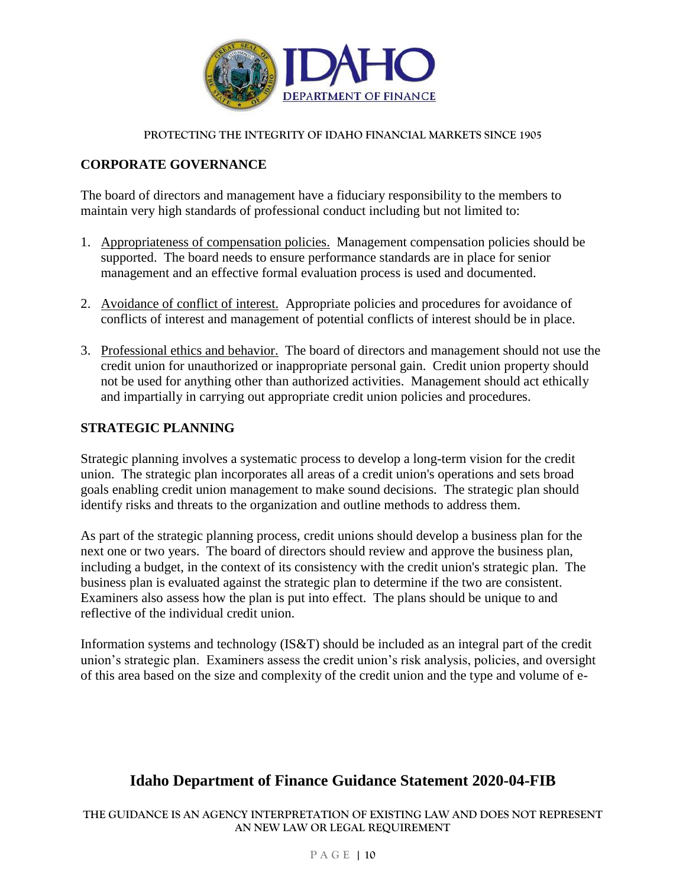

## **CORPORATE GOVERNANCE**

The board of directors and management have a fiduciary responsibility to the members to maintain very high standards of professional conduct including but not limited to:

- 1. Appropriateness of compensation policies. Management compensation policies should be supported. The board needs to ensure performance standards are in place for senior management and an effective formal evaluation process is used and documented.
- 2. Avoidance of conflict of interest. Appropriate policies and procedures for avoidance of conflicts of interest and management of potential conflicts of interest should be in place.
- 3. Professional ethics and behavior. The board of directors and management should not use the credit union for unauthorized or inappropriate personal gain. Credit union property should not be used for anything other than authorized activities. Management should act ethically and impartially in carrying out appropriate credit union policies and procedures.

### **STRATEGIC PLANNING**

Strategic planning involves a systematic process to develop a long-term vision for the credit union. The strategic plan incorporates all areas of a credit union's operations and sets broad goals enabling credit union management to make sound decisions. The strategic plan should identify risks and threats to the organization and outline methods to address them.

As part of the strategic planning process, credit unions should develop a business plan for the next one or two years. The board of directors should review and approve the business plan, including a budget, in the context of its consistency with the credit union's strategic plan. The business plan is evaluated against the strategic plan to determine if the two are consistent. Examiners also assess how the plan is put into effect. The plans should be unique to and reflective of the individual credit union.

Information systems and technology (IS&T) should be included as an integral part of the credit union's strategic plan. Examiners assess the credit union's risk analysis, policies, and oversight of this area based on the size and complexity of the credit union and the type and volume of e-

# **Idaho Department of Finance Guidance Statement 2020-04-FIB**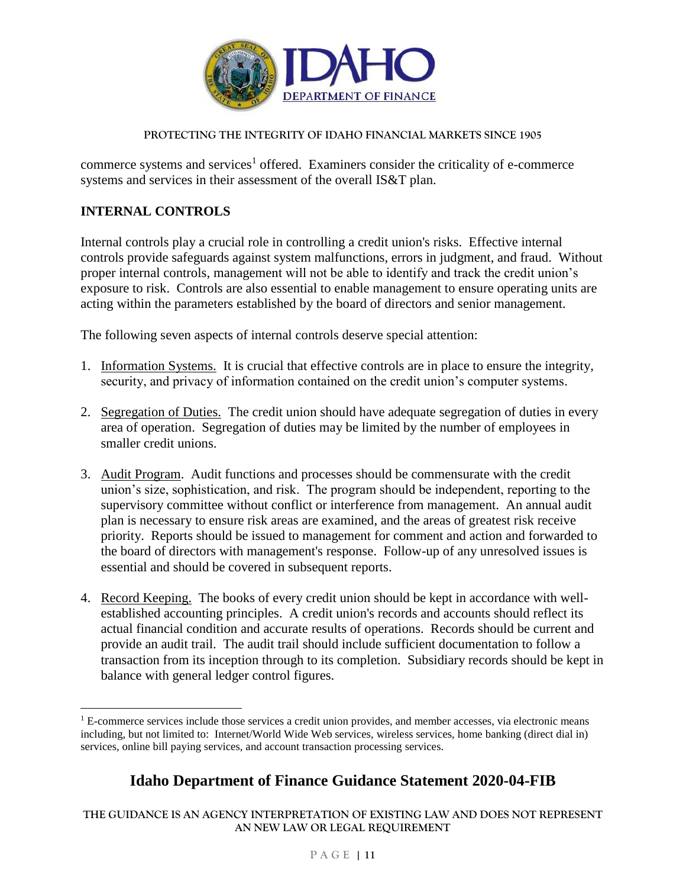

commerce systems and services<sup>1</sup> offered. Examiners consider the criticality of e-commerce systems and services in their assessment of the overall IS&T plan.

## **INTERNAL CONTROLS**

 $\overline{a}$ 

Internal controls play a crucial role in controlling a credit union's risks. Effective internal controls provide safeguards against system malfunctions, errors in judgment, and fraud. Without proper internal controls, management will not be able to identify and track the credit union's exposure to risk. Controls are also essential to enable management to ensure operating units are acting within the parameters established by the board of directors and senior management.

The following seven aspects of internal controls deserve special attention:

- 1. Information Systems. It is crucial that effective controls are in place to ensure the integrity, security, and privacy of information contained on the credit union's computer systems.
- 2. Segregation of Duties. The credit union should have adequate segregation of duties in every area of operation. Segregation of duties may be limited by the number of employees in smaller credit unions.
- 3. Audit Program. Audit functions and processes should be commensurate with the credit union's size, sophistication, and risk. The program should be independent, reporting to the supervisory committee without conflict or interference from management. An annual audit plan is necessary to ensure risk areas are examined, and the areas of greatest risk receive priority. Reports should be issued to management for comment and action and forwarded to the board of directors with management's response. Follow-up of any unresolved issues is essential and should be covered in subsequent reports.
- 4. Record Keeping. The books of every credit union should be kept in accordance with wellestablished accounting principles. A credit union's records and accounts should reflect its actual financial condition and accurate results of operations. Records should be current and provide an audit trail. The audit trail should include sufficient documentation to follow a transaction from its inception through to its completion. Subsidiary records should be kept in balance with general ledger control figures.

# **Idaho Department of Finance Guidance Statement 2020-04-FIB**

<sup>&</sup>lt;sup>1</sup> E-commerce services include those services a credit union provides, and member accesses, via electronic means including, but not limited to: Internet/World Wide Web services, wireless services, home banking (direct dial in) services, online bill paying services, and account transaction processing services.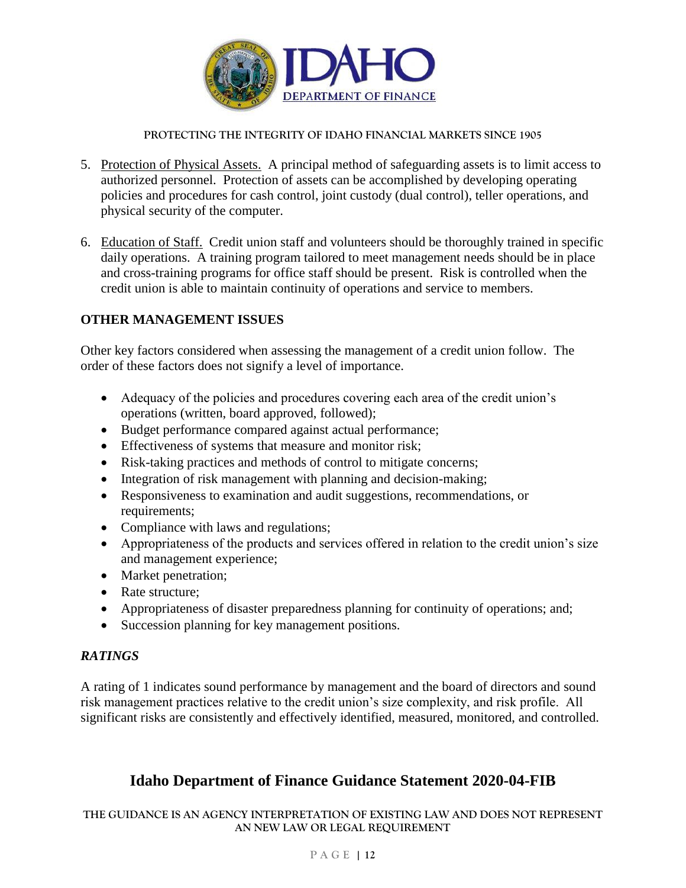

- 5. Protection of Physical Assets. A principal method of safeguarding assets is to limit access to authorized personnel. Protection of assets can be accomplished by developing operating policies and procedures for cash control, joint custody (dual control), teller operations, and physical security of the computer.
- 6. Education of Staff. Credit union staff and volunteers should be thoroughly trained in specific daily operations. A training program tailored to meet management needs should be in place and cross-training programs for office staff should be present. Risk is controlled when the credit union is able to maintain continuity of operations and service to members.

### **OTHER MANAGEMENT ISSUES**

Other key factors considered when assessing the management of a credit union follow. The order of these factors does not signify a level of importance.

- Adequacy of the policies and procedures covering each area of the credit union's operations (written, board approved, followed);
- Budget performance compared against actual performance;
- Effectiveness of systems that measure and monitor risk;
- Risk-taking practices and methods of control to mitigate concerns;
- Integration of risk management with planning and decision-making;
- Responsiveness to examination and audit suggestions, recommendations, or requirements;
- Compliance with laws and regulations;
- Appropriateness of the products and services offered in relation to the credit union's size and management experience;
- Market penetration;
- Rate structure:
- Appropriateness of disaster preparedness planning for continuity of operations; and;
- Succession planning for key management positions.

### *RATINGS*

A rating of 1 indicates sound performance by management and the board of directors and sound risk management practices relative to the credit union's size complexity, and risk profile. All significant risks are consistently and effectively identified, measured, monitored, and controlled.

# **Idaho Department of Finance Guidance Statement 2020-04-FIB**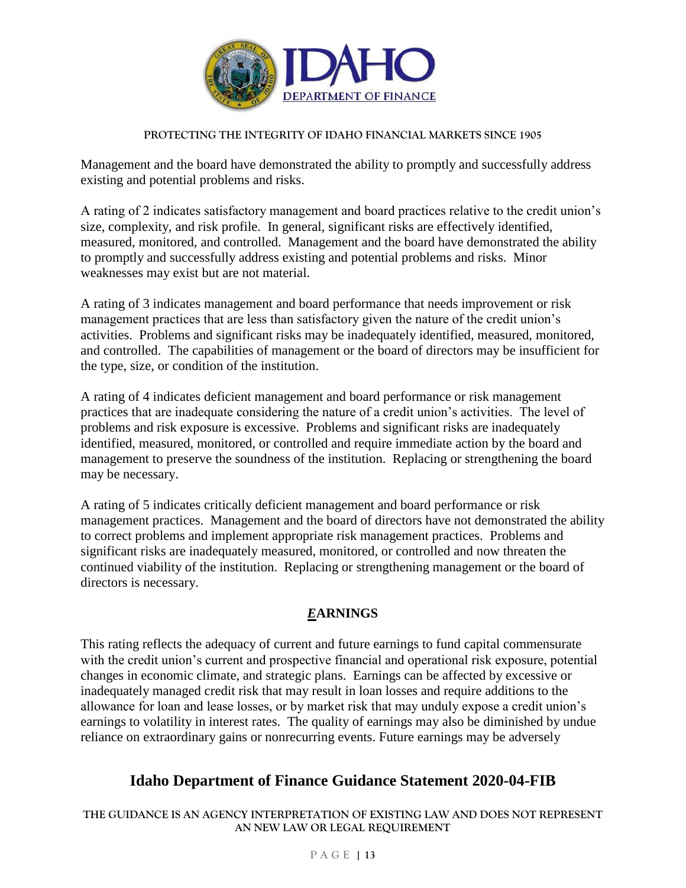

Management and the board have demonstrated the ability to promptly and successfully address existing and potential problems and risks.

A rating of 2 indicates satisfactory management and board practices relative to the credit union's size, complexity, and risk profile. In general, significant risks are effectively identified, measured, monitored, and controlled. Management and the board have demonstrated the ability to promptly and successfully address existing and potential problems and risks. Minor weaknesses may exist but are not material.

A rating of 3 indicates management and board performance that needs improvement or risk management practices that are less than satisfactory given the nature of the credit union's activities. Problems and significant risks may be inadequately identified, measured, monitored, and controlled. The capabilities of management or the board of directors may be insufficient for the type, size, or condition of the institution.

A rating of 4 indicates deficient management and board performance or risk management practices that are inadequate considering the nature of a credit union's activities. The level of problems and risk exposure is excessive. Problems and significant risks are inadequately identified, measured, monitored, or controlled and require immediate action by the board and management to preserve the soundness of the institution. Replacing or strengthening the board may be necessary.

A rating of 5 indicates critically deficient management and board performance or risk management practices. Management and the board of directors have not demonstrated the ability to correct problems and implement appropriate risk management practices. Problems and significant risks are inadequately measured, monitored, or controlled and now threaten the continued viability of the institution. Replacing or strengthening management or the board of directors is necessary.

# *E***ARNINGS**

This rating reflects the adequacy of current and future earnings to fund capital commensurate with the credit union's current and prospective financial and operational risk exposure, potential changes in economic climate, and strategic plans. Earnings can be affected by excessive or inadequately managed credit risk that may result in loan losses and require additions to the allowance for loan and lease losses, or by market risk that may unduly expose a credit union's earnings to volatility in interest rates. The quality of earnings may also be diminished by undue reliance on extraordinary gains or nonrecurring events. Future earnings may be adversely

# **Idaho Department of Finance Guidance Statement 2020-04-FIB**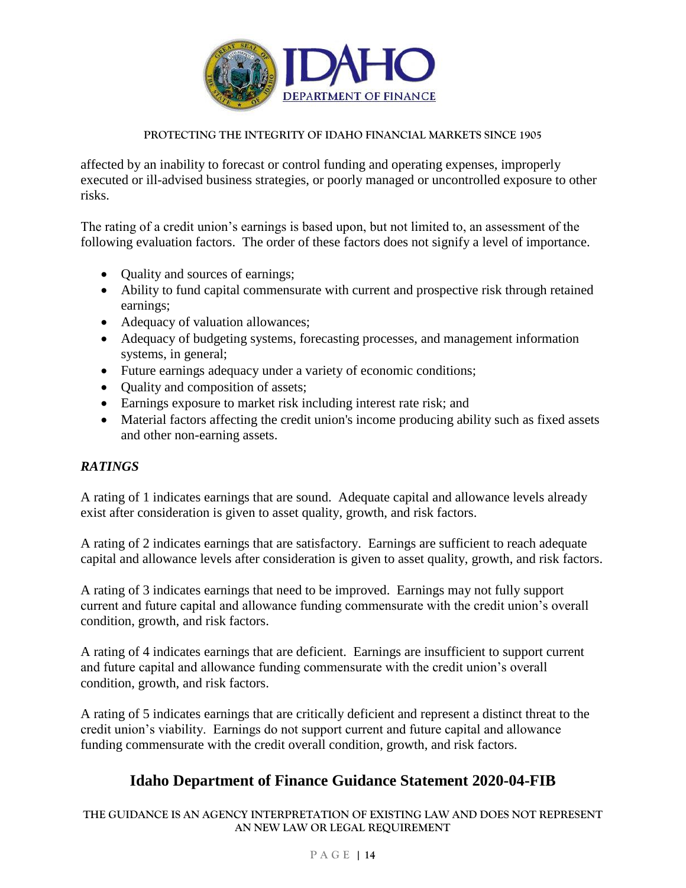

affected by an inability to forecast or control funding and operating expenses, improperly executed or ill-advised business strategies, or poorly managed or uncontrolled exposure to other risks.

The rating of a credit union's earnings is based upon, but not limited to, an assessment of the following evaluation factors. The order of these factors does not signify a level of importance.

- Quality and sources of earnings;
- Ability to fund capital commensurate with current and prospective risk through retained earnings;
- Adequacy of valuation allowances;
- Adequacy of budgeting systems, forecasting processes, and management information systems, in general;
- Future earnings adequacy under a variety of economic conditions;
- Quality and composition of assets;
- Earnings exposure to market risk including interest rate risk; and
- Material factors affecting the credit union's income producing ability such as fixed assets and other non-earning assets.

## *RATINGS*

A rating of 1 indicates earnings that are sound. Adequate capital and allowance levels already exist after consideration is given to asset quality, growth, and risk factors.

A rating of 2 indicates earnings that are satisfactory. Earnings are sufficient to reach adequate capital and allowance levels after consideration is given to asset quality, growth, and risk factors.

A rating of 3 indicates earnings that need to be improved. Earnings may not fully support current and future capital and allowance funding commensurate with the credit union's overall condition, growth, and risk factors.

A rating of 4 indicates earnings that are deficient. Earnings are insufficient to support current and future capital and allowance funding commensurate with the credit union's overall condition, growth, and risk factors.

A rating of 5 indicates earnings that are critically deficient and represent a distinct threat to the credit union's viability. Earnings do not support current and future capital and allowance funding commensurate with the credit overall condition, growth, and risk factors.

## **Idaho Department of Finance Guidance Statement 2020-04-FIB**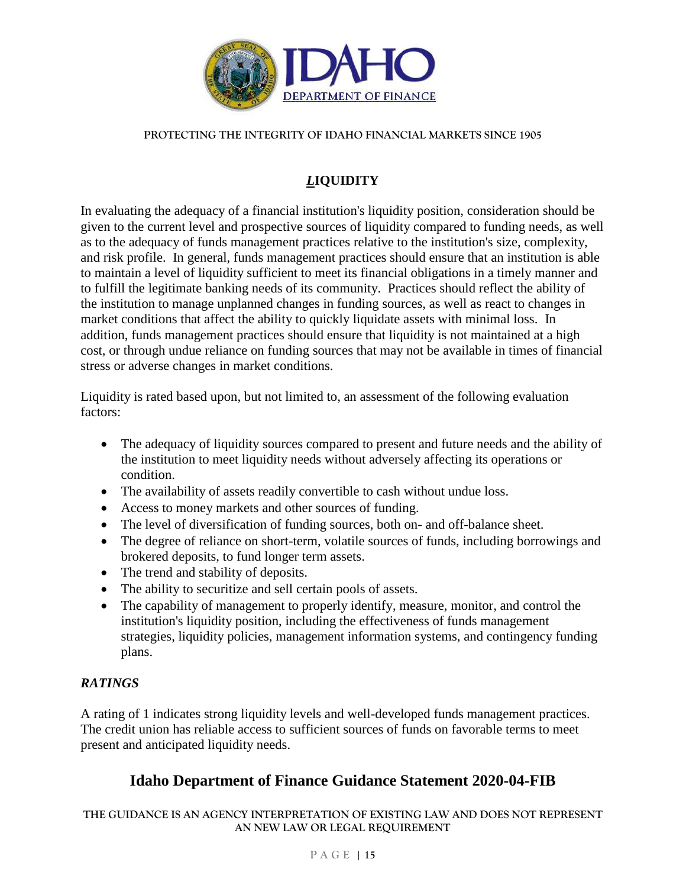

# *L***IQUIDITY**

In evaluating the adequacy of a financial institution's liquidity position, consideration should be given to the current level and prospective sources of liquidity compared to funding needs, as well as to the adequacy of funds management practices relative to the institution's size, complexity, and risk profile. In general, funds management practices should ensure that an institution is able to maintain a level of liquidity sufficient to meet its financial obligations in a timely manner and to fulfill the legitimate banking needs of its community. Practices should reflect the ability of the institution to manage unplanned changes in funding sources, as well as react to changes in market conditions that affect the ability to quickly liquidate assets with minimal loss. In addition, funds management practices should ensure that liquidity is not maintained at a high cost, or through undue reliance on funding sources that may not be available in times of financial stress or adverse changes in market conditions.

Liquidity is rated based upon, but not limited to, an assessment of the following evaluation factors:

- The adequacy of liquidity sources compared to present and future needs and the ability of the institution to meet liquidity needs without adversely affecting its operations or condition.
- The availability of assets readily convertible to cash without undue loss.
- Access to money markets and other sources of funding.
- The level of diversification of funding sources, both on- and off-balance sheet.
- The degree of reliance on short-term, volatile sources of funds, including borrowings and brokered deposits, to fund longer term assets.
- The trend and stability of deposits.
- The ability to securitize and sell certain pools of assets.
- The capability of management to properly identify, measure, monitor, and control the institution's liquidity position, including the effectiveness of funds management strategies, liquidity policies, management information systems, and contingency funding plans.

## *RATINGS*

A rating of 1 indicates strong liquidity levels and well-developed funds management practices. The credit union has reliable access to sufficient sources of funds on favorable terms to meet present and anticipated liquidity needs.

# **Idaho Department of Finance Guidance Statement 2020-04-FIB**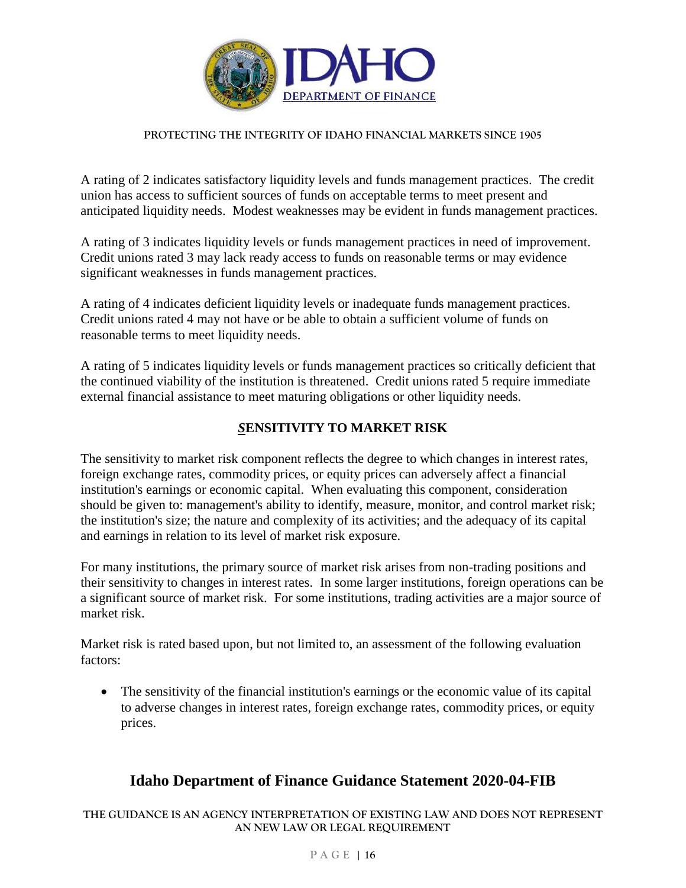

A rating of 2 indicates satisfactory liquidity levels and funds management practices. The credit union has access to sufficient sources of funds on acceptable terms to meet present and anticipated liquidity needs. Modest weaknesses may be evident in funds management practices.

A rating of 3 indicates liquidity levels or funds management practices in need of improvement. Credit unions rated 3 may lack ready access to funds on reasonable terms or may evidence significant weaknesses in funds management practices.

A rating of 4 indicates deficient liquidity levels or inadequate funds management practices. Credit unions rated 4 may not have or be able to obtain a sufficient volume of funds on reasonable terms to meet liquidity needs.

A rating of 5 indicates liquidity levels or funds management practices so critically deficient that the continued viability of the institution is threatened. Credit unions rated 5 require immediate external financial assistance to meet maturing obligations or other liquidity needs.

## *S***ENSITIVITY TO MARKET RISK**

The sensitivity to market risk component reflects the degree to which changes in interest rates, foreign exchange rates, commodity prices, or equity prices can adversely affect a financial institution's earnings or economic capital. When evaluating this component, consideration should be given to: management's ability to identify, measure, monitor, and control market risk; the institution's size; the nature and complexity of its activities; and the adequacy of its capital and earnings in relation to its level of market risk exposure.

For many institutions, the primary source of market risk arises from non-trading positions and their sensitivity to changes in interest rates. In some larger institutions, foreign operations can be a significant source of market risk. For some institutions, trading activities are a major source of market risk.

Market risk is rated based upon, but not limited to, an assessment of the following evaluation factors:

 The sensitivity of the financial institution's earnings or the economic value of its capital to adverse changes in interest rates, foreign exchange rates, commodity prices, or equity prices.

# **Idaho Department of Finance Guidance Statement 2020-04-FIB**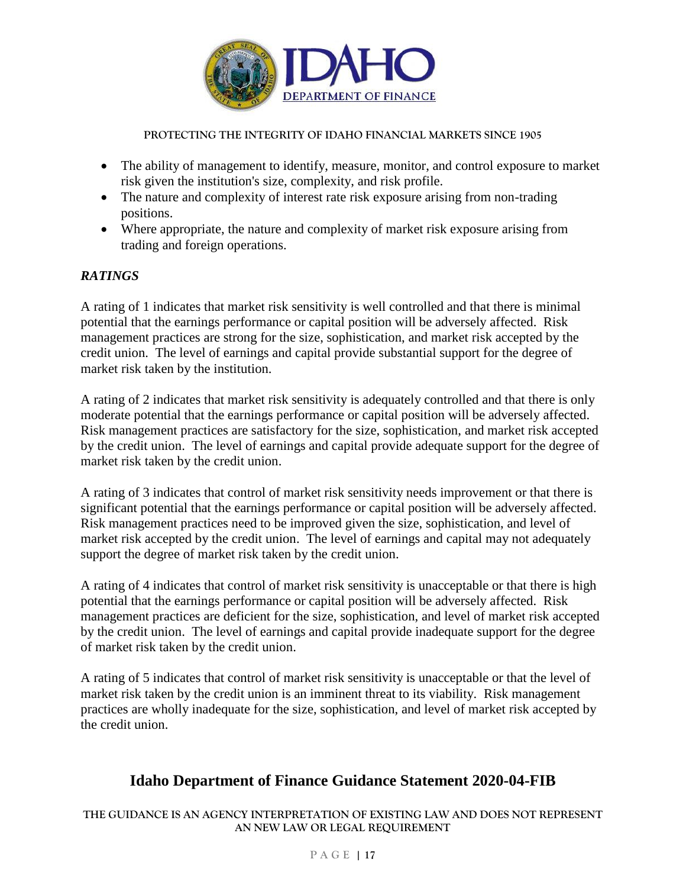

- The ability of management to identify, measure, monitor, and control exposure to market risk given the institution's size, complexity, and risk profile.
- The nature and complexity of interest rate risk exposure arising from non-trading positions.
- Where appropriate, the nature and complexity of market risk exposure arising from trading and foreign operations.

## *RATINGS*

A rating of 1 indicates that market risk sensitivity is well controlled and that there is minimal potential that the earnings performance or capital position will be adversely affected. Risk management practices are strong for the size, sophistication, and market risk accepted by the credit union. The level of earnings and capital provide substantial support for the degree of market risk taken by the institution.

A rating of 2 indicates that market risk sensitivity is adequately controlled and that there is only moderate potential that the earnings performance or capital position will be adversely affected. Risk management practices are satisfactory for the size, sophistication, and market risk accepted by the credit union. The level of earnings and capital provide adequate support for the degree of market risk taken by the credit union.

A rating of 3 indicates that control of market risk sensitivity needs improvement or that there is significant potential that the earnings performance or capital position will be adversely affected. Risk management practices need to be improved given the size, sophistication, and level of market risk accepted by the credit union. The level of earnings and capital may not adequately support the degree of market risk taken by the credit union.

A rating of 4 indicates that control of market risk sensitivity is unacceptable or that there is high potential that the earnings performance or capital position will be adversely affected. Risk management practices are deficient for the size, sophistication, and level of market risk accepted by the credit union. The level of earnings and capital provide inadequate support for the degree of market risk taken by the credit union.

A rating of 5 indicates that control of market risk sensitivity is unacceptable or that the level of market risk taken by the credit union is an imminent threat to its viability. Risk management practices are wholly inadequate for the size, sophistication, and level of market risk accepted by the credit union.

# **Idaho Department of Finance Guidance Statement 2020-04-FIB**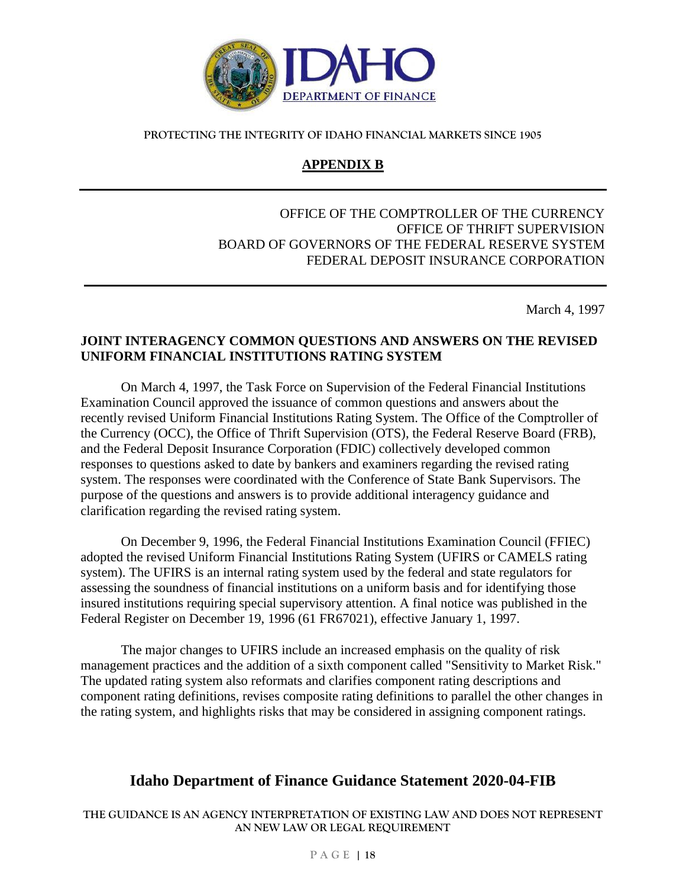

## **APPENDIX B**

### OFFICE OF THE COMPTROLLER OF THE CURRENCY OFFICE OF THRIFT SUPERVISION BOARD OF GOVERNORS OF THE FEDERAL RESERVE SYSTEM FEDERAL DEPOSIT INSURANCE CORPORATION

March 4, 1997

### **JOINT INTERAGENCY COMMON QUESTIONS AND ANSWERS ON THE REVISED UNIFORM FINANCIAL INSTITUTIONS RATING SYSTEM**

On March 4, 1997, the Task Force on Supervision of the Federal Financial Institutions Examination Council approved the issuance of common questions and answers about the recently revised Uniform Financial Institutions Rating System. The Office of the Comptroller of the Currency (OCC), the Office of Thrift Supervision (OTS), the Federal Reserve Board (FRB), and the Federal Deposit Insurance Corporation (FDIC) collectively developed common responses to questions asked to date by bankers and examiners regarding the revised rating system. The responses were coordinated with the Conference of State Bank Supervisors. The purpose of the questions and answers is to provide additional interagency guidance and clarification regarding the revised rating system.

On December 9, 1996, the Federal Financial Institutions Examination Council (FFIEC) adopted the revised Uniform Financial Institutions Rating System (UFIRS or CAMELS rating system). The UFIRS is an internal rating system used by the federal and state regulators for assessing the soundness of financial institutions on a uniform basis and for identifying those insured institutions requiring special supervisory attention. A final notice was published in the Federal Register on December 19, 1996 (61 FR67021), effective January 1, 1997.

The major changes to UFIRS include an increased emphasis on the quality of risk management practices and the addition of a sixth component called "Sensitivity to Market Risk." The updated rating system also reformats and clarifies component rating descriptions and component rating definitions, revises composite rating definitions to parallel the other changes in the rating system, and highlights risks that may be considered in assigning component ratings.

## **Idaho Department of Finance Guidance Statement 2020-04-FIB**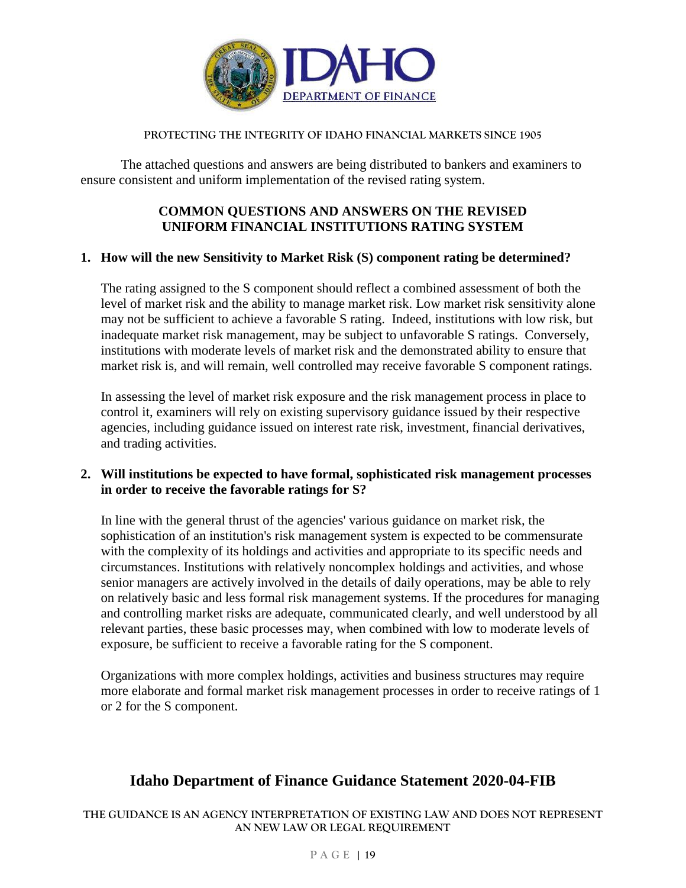

The attached questions and answers are being distributed to bankers and examiners to ensure consistent and uniform implementation of the revised rating system.

### **COMMON QUESTIONS AND ANSWERS ON THE REVISED UNIFORM FINANCIAL INSTITUTIONS RATING SYSTEM**

### **1. How will the new Sensitivity to Market Risk (S) component rating be determined?**

The rating assigned to the S component should reflect a combined assessment of both the level of market risk and the ability to manage market risk. Low market risk sensitivity alone may not be sufficient to achieve a favorable S rating. Indeed, institutions with low risk, but inadequate market risk management, may be subject to unfavorable S ratings. Conversely, institutions with moderate levels of market risk and the demonstrated ability to ensure that market risk is, and will remain, well controlled may receive favorable S component ratings.

In assessing the level of market risk exposure and the risk management process in place to control it, examiners will rely on existing supervisory guidance issued by their respective agencies, including guidance issued on interest rate risk, investment, financial derivatives, and trading activities.

### **2. Will institutions be expected to have formal, sophisticated risk management processes in order to receive the favorable ratings for S?**

In line with the general thrust of the agencies' various guidance on market risk, the sophistication of an institution's risk management system is expected to be commensurate with the complexity of its holdings and activities and appropriate to its specific needs and circumstances. Institutions with relatively noncomplex holdings and activities, and whose senior managers are actively involved in the details of daily operations, may be able to rely on relatively basic and less formal risk management systems. If the procedures for managing and controlling market risks are adequate, communicated clearly, and well understood by all relevant parties, these basic processes may, when combined with low to moderate levels of exposure, be sufficient to receive a favorable rating for the S component.

Organizations with more complex holdings, activities and business structures may require more elaborate and formal market risk management processes in order to receive ratings of 1 or 2 for the S component.

## **Idaho Department of Finance Guidance Statement 2020-04-FIB**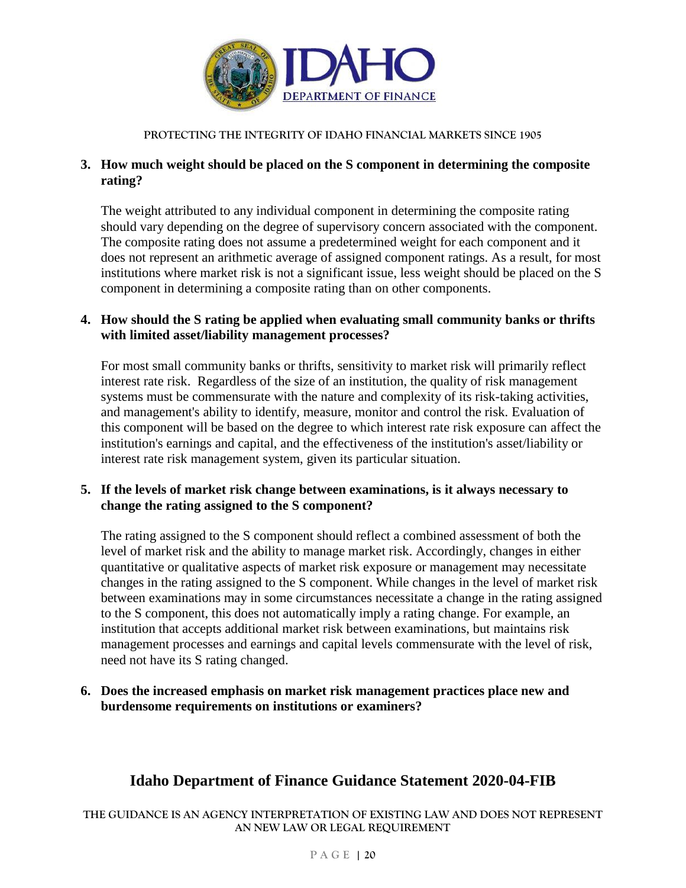

## **3. How much weight should be placed on the S component in determining the composite rating?**

The weight attributed to any individual component in determining the composite rating should vary depending on the degree of supervisory concern associated with the component. The composite rating does not assume a predetermined weight for each component and it does not represent an arithmetic average of assigned component ratings. As a result, for most institutions where market risk is not a significant issue, less weight should be placed on the S component in determining a composite rating than on other components.

### **4. How should the S rating be applied when evaluating small community banks or thrifts with limited asset/liability management processes?**

For most small community banks or thrifts, sensitivity to market risk will primarily reflect interest rate risk. Regardless of the size of an institution, the quality of risk management systems must be commensurate with the nature and complexity of its risk-taking activities, and management's ability to identify, measure, monitor and control the risk. Evaluation of this component will be based on the degree to which interest rate risk exposure can affect the institution's earnings and capital, and the effectiveness of the institution's asset/liability or interest rate risk management system, given its particular situation.

### **5. If the levels of market risk change between examinations, is it always necessary to change the rating assigned to the S component?**

The rating assigned to the S component should reflect a combined assessment of both the level of market risk and the ability to manage market risk. Accordingly, changes in either quantitative or qualitative aspects of market risk exposure or management may necessitate changes in the rating assigned to the S component. While changes in the level of market risk between examinations may in some circumstances necessitate a change in the rating assigned to the S component, this does not automatically imply a rating change. For example, an institution that accepts additional market risk between examinations, but maintains risk management processes and earnings and capital levels commensurate with the level of risk, need not have its S rating changed.

**6. Does the increased emphasis on market risk management practices place new and burdensome requirements on institutions or examiners?**

# **Idaho Department of Finance Guidance Statement 2020-04-FIB**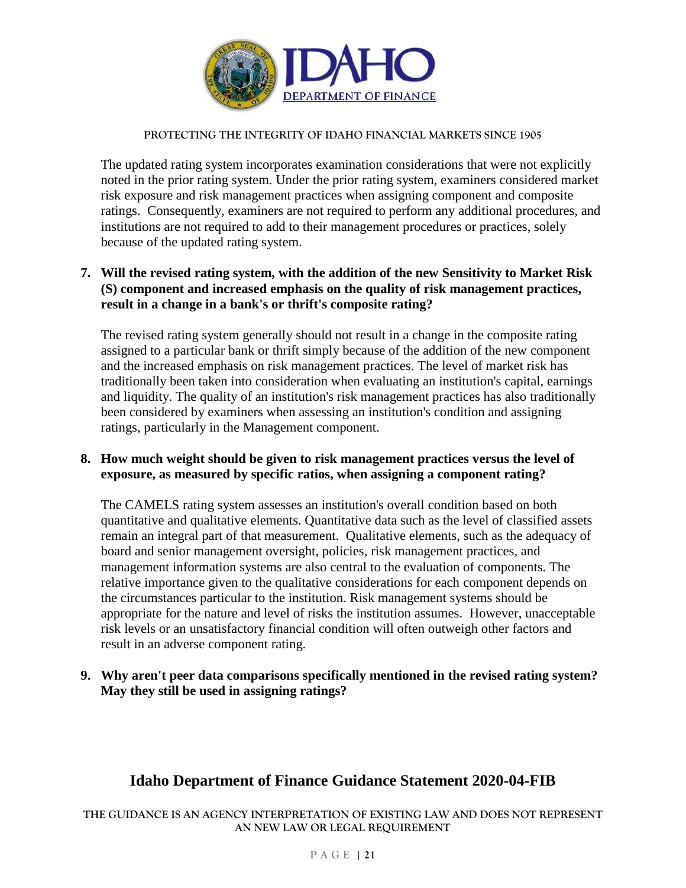

The updated rating system incorporates examination considerations that were not explicitly noted in the prior rating system. Under the prior rating system, examiners considered market risk exposure and risk management practices when assigning component and composite ratings. Consequently, examiners are not required to perform any additional procedures, and institutions are not required to add to their management procedures or practices, solely because of the updated rating system.

## **7. Will the revised rating system, with the addition of the new Sensitivity to Market Risk (S) component and increased emphasis on the quality of risk management practices, result in a change in a bank's or thrift's composite rating?**

The revised rating system generally should not result in a change in the composite rating assigned to a particular bank or thrift simply because of the addition of the new component and the increased emphasis on risk management practices. The level of market risk has traditionally been taken into consideration when evaluating an institution's capital, earnings and liquidity. The quality of an institution's risk management practices has also traditionally been considered by examiners when assessing an institution's condition and assigning ratings, particularly in the Management component.

### **8. How much weight should be given to risk management practices versus the level of exposure, as measured by specific ratios, when assigning a component rating?**

The CAMELS rating system assesses an institution's overall condition based on both quantitative and qualitative elements. Quantitative data such as the level of classified assets remain an integral part of that measurement. Qualitative elements, such as the adequacy of board and senior management oversight, policies, risk management practices, and management information systems are also central to the evaluation of components. The relative importance given to the qualitative considerations for each component depends on the circumstances particular to the institution. Risk management systems should be appropriate for the nature and level of risks the institution assumes. However, unacceptable risk levels or an unsatisfactory financial condition will often outweigh other factors and result in an adverse component rating.

### **9. Why aren't peer data comparisons specifically mentioned in the revised rating system? May they still be used in assigning ratings?**

# **Idaho Department of Finance Guidance Statement 2020-04-FIB**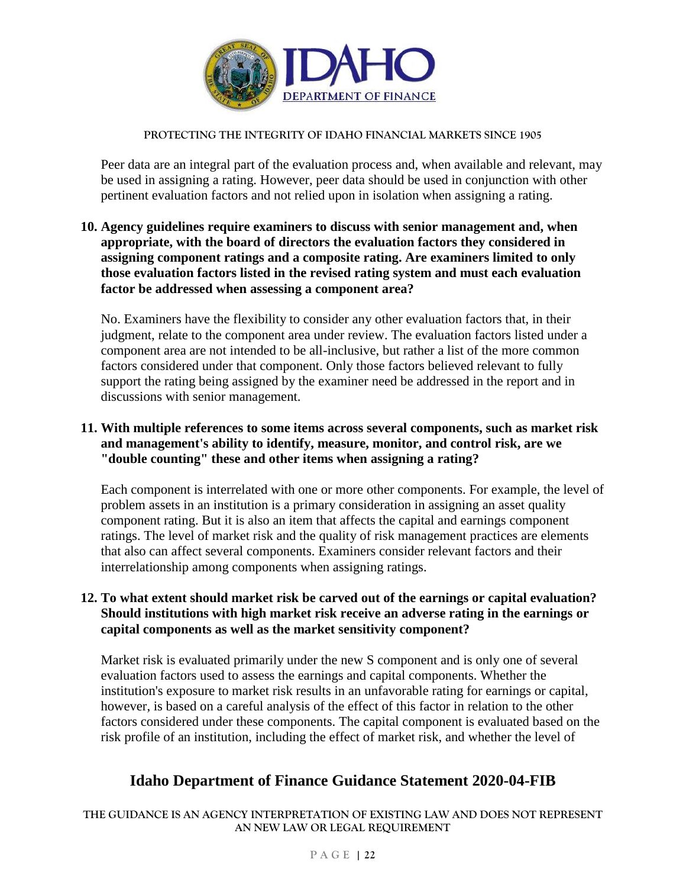

Peer data are an integral part of the evaluation process and, when available and relevant, may be used in assigning a rating. However, peer data should be used in conjunction with other pertinent evaluation factors and not relied upon in isolation when assigning a rating.

### **10. Agency guidelines require examiners to discuss with senior management and, when appropriate, with the board of directors the evaluation factors they considered in assigning component ratings and a composite rating. Are examiners limited to only those evaluation factors listed in the revised rating system and must each evaluation factor be addressed when assessing a component area?**

No. Examiners have the flexibility to consider any other evaluation factors that, in their judgment, relate to the component area under review. The evaluation factors listed under a component area are not intended to be all-inclusive, but rather a list of the more common factors considered under that component. Only those factors believed relevant to fully support the rating being assigned by the examiner need be addressed in the report and in discussions with senior management.

## **11. With multiple references to some items across several components, such as market risk and management's ability to identify, measure, monitor, and control risk, are we "double counting" these and other items when assigning a rating?**

Each component is interrelated with one or more other components. For example, the level of problem assets in an institution is a primary consideration in assigning an asset quality component rating. But it is also an item that affects the capital and earnings component ratings. The level of market risk and the quality of risk management practices are elements that also can affect several components. Examiners consider relevant factors and their interrelationship among components when assigning ratings.

### **12. To what extent should market risk be carved out of the earnings or capital evaluation? Should institutions with high market risk receive an adverse rating in the earnings or capital components as well as the market sensitivity component?**

Market risk is evaluated primarily under the new S component and is only one of several evaluation factors used to assess the earnings and capital components. Whether the institution's exposure to market risk results in an unfavorable rating for earnings or capital, however, is based on a careful analysis of the effect of this factor in relation to the other factors considered under these components. The capital component is evaluated based on the risk profile of an institution, including the effect of market risk, and whether the level of

# **Idaho Department of Finance Guidance Statement 2020-04-FIB**